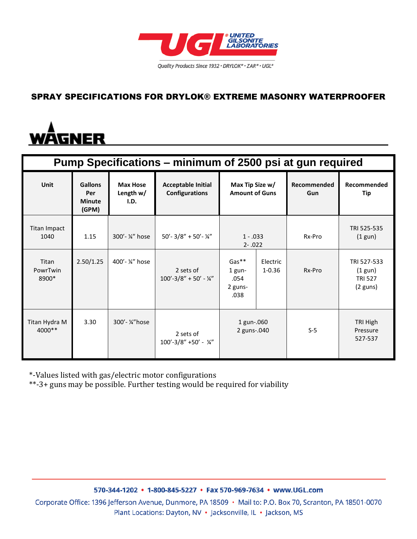

### SPRAY SPECIFICATIONS FOR DRYLOK® EXTREME MASONRY WATERPROOFER

# <u>WĀGNER</u>

| Pump Specifications – minimum of 2500 psi at gun required |                                                 |                                      |                                                    |                                                |                        |                    |                                                                  |
|-----------------------------------------------------------|-------------------------------------------------|--------------------------------------|----------------------------------------------------|------------------------------------------------|------------------------|--------------------|------------------------------------------------------------------|
| Unit                                                      | <b>Gallons</b><br>Per<br><b>Minute</b><br>(GPM) | <b>Max Hose</b><br>Length w/<br>I.D. | <b>Acceptable Initial</b><br><b>Configurations</b> | Max Tip Size w/<br><b>Amount of Guns</b>       |                        | Recommended<br>Gun | Recommended<br>Tip                                               |
| <b>Titan Impact</b><br>1040                               | 1.15                                            | 300'- ¼" hose                        | $50'$ - 3/8" + 50'- 1/4"                           | $1 - .033$<br>$2 - .022$                       |                        | Rx-Pro             | TRI 525-535<br>$(1$ gun)                                         |
| Titan<br>PowrTwin<br>8900*                                | 2.50/1.25                                       | 400'- ¼" hose                        | 2 sets of<br>$100' - 3/8'' + 50' - \frac{1}{4}$    | $Gas**$<br>$1$ gun-<br>.054<br>2 guns-<br>.038 | Electric<br>$1 - 0.36$ | Rx-Pro             | TRI 527-533<br>$(1$ gun)<br><b>TRI 527</b><br>$(2 \text{ guns})$ |
| Titan Hydra M<br>4000**                                   | 3.30                                            | 300'- ¼"hose                         | 2 sets of<br>$100' - 3/8'' + 50' - \frac{1}{4}$    | 1 gun-.060<br>2 guns-.040                      |                        | $S-5$              | TRI High<br>Pressure<br>527-537                                  |

\*-Values listed with gas/electric motor configurations

\*\*-3+ guns may be possible. Further testing would be required for viability

570-344-1202 • 1-800-845-5227 • Fax 570-969-7634 • www.UGL.com

Corporate Office: 1396 Jefferson Avenue, Dunmore, PA 18509 · Mail to: P.O. Box 70, Scranton, PA 18501-0070 Plant Locations: Dayton, NV · Jacksonville, IL · Jackson, MS